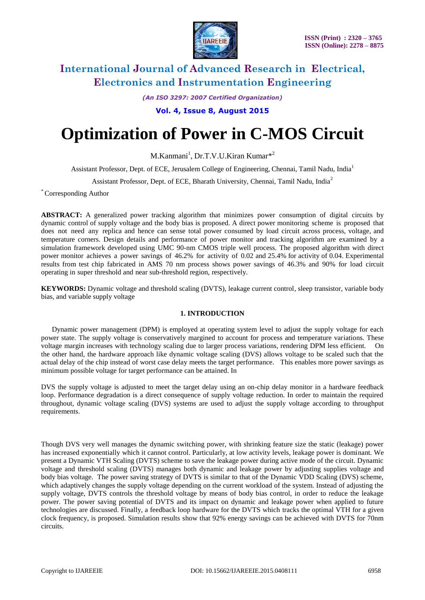

*(An ISO 3297: 2007 Certified Organization)*

**Vol. 4, Issue 8, August 2015**

# **Optimization of Power in C-MOS Circuit**

M.Kanmani<sup>1</sup>, Dr.T.V.U.Kiran Kumar<sup>\*2</sup>

Assistant Professor, Dept. of ECE, Jerusalem College of Engineering, Chennai, Tamil Nadu, India<sup>1</sup>

Assistant Professor, Dept. of ECE, Bharath University, Chennai, Tamil Nadu, India<sup>2</sup>

\* Corresponding Author

**ABSTRACT:** A generalized power tracking algorithm that minimizes power consumption of digital circuits by dynamic control of supply voltage and the body bias is proposed. A direct power monitoring scheme is proposed that does not need any replica and hence can sense total power consumed by load circuit across process, voltage, and temperature corners. Design details and performance of power monitor and tracking algorithm are examined by a simulation framework developed using UMC 90-nm CMOS triple well process. The proposed algorithm with direct power monitor achieves a power savings of 46.2% for activity of 0.02 and 25.4% for activity of 0.04. Experimental results from test chip fabricated in AMS 70 nm process shows power savings of 46.3% and 90% for load circuit operating in super threshold and near sub-threshold region, respectively.

**KEYWORDS:** Dynamic voltage and threshold scaling (DVTS), leakage current control, sleep transistor, variable body bias, and variable supply voltage

### **1. INTRODUCTION**

 Dynamic power management (DPM) is employed at operating system level to adjust the supply voltage for each power state. The supply voltage is conservatively margined to account for process and temperature variations. These voltage margin increases with technology scaling due to larger process variations, rendering DPM less efficient. On the other hand, the hardware approach like dynamic voltage scaling (DVS) allows voltage to be scaled such that the actual delay of the chip instead of worst case delay meets the target performance. This enables more power savings as minimum possible voltage for target performance can be attained. In

DVS the supply voltage is adjusted to meet the target delay using an on-chip delay monitor in a hardware feedback loop. Performance degradation is a direct consequence of supply voltage reduction. In order to maintain the required throughout, dynamic voltage scaling (DVS) systems are used to adjust the supply voltage according to throughput requirements.

Though DVS very well manages the dynamic switching power, with shrinking feature size the static (leakage) power has increased exponentially which it cannot control. Particularly, at low activity levels, leakage power is dominant. We present a Dynamic VTH Scaling (DVTS) scheme to save the leakage power during active mode of the circuit. Dynamic voltage and threshold scaling (DVTS) manages both dynamic and leakage power by adjusting supplies voltage and body bias voltage. The power saving strategy of DVTS is similar to that of the Dynamic VDD Scaling (DVS) scheme, which adaptively changes the supply voltage depending on the current workload of the system. Instead of adjusting the supply voltage, DVTS controls the threshold voltage by means of body bias control, in order to reduce the leakage power. The power saving potential of DVTS and its impact on dynamic and leakage power when applied to future technologies are discussed. Finally, a feedback loop hardware for the DVTS which tracks the optimal VTH for a given clock frequency, is proposed. Simulation results show that 92% energy savings can be achieved with DVTS for 70nm circuits.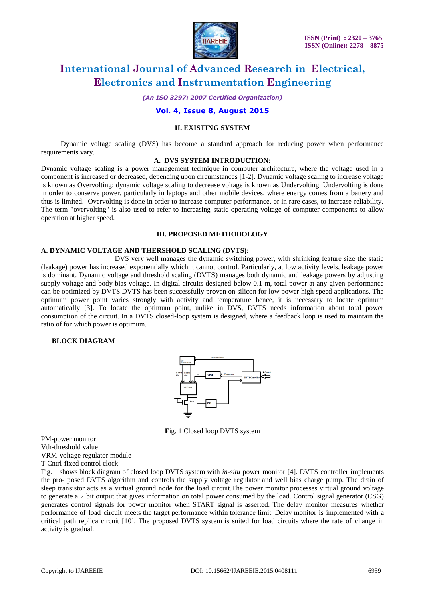

*(An ISO 3297: 2007 Certified Organization)*

### **Vol. 4, Issue 8, August 2015**

#### **II. EXISTING SYSTEM**

 Dynamic voltage scaling (DVS) has become a standard approach for reducing power when performance requirements vary.

#### **A. DVS SYSTEM INTRODUCTION:**

Dynamic voltage scaling is a power management technique in computer architecture, where the voltage used in a component is increased or decreased, depending upon circumstances [1-2]. Dynamic voltage scaling to increase voltage is known as Overvolting; dynamic voltage scaling to decrease voltage is known as Undervolting. Undervolting is done in order to conserve power, particularly in laptops and other mobile devices, where energy comes from a battery and thus is limited. Overvolting is done in order to increase computer performance, or in rare cases, to increase reliability. The term "overvolting" is also used to refer to increasing static operating voltage of computer components to allow operation at higher speed.

#### **III. PROPOSED METHODOLOGY**

### **A. DYNAMIC VOLTAGE AND THERSHOLD SCALING (DVTS):**

DVS very well manages the dynamic switching power, with shrinking feature size the static (leakage) power has increased exponentially which it cannot control. Particularly, at low activity levels, leakage power is dominant. Dynamic voltage and threshold scaling (DVTS) manages both dynamic and leakage powers by adjusting supply voltage and body bias voltage. In digital circuits designed below 0.1 m, total power at any given performance can be optimized by DVTS.DVTS has been successfully proven on silicon for low power high speed applications. The optimum power point varies strongly with activity and temperature hence, it is necessary to locate optimum automatically [3]. To locate the optimum point, unlike in DVS, DVTS needs information about total power consumption of the circuit. In a DVTS closed-loop system is designed, where a feedback loop is used to maintain the ratio of for which power is optimum.

#### **BLOCK DIAGRAM**



**F**ig. 1 Closed loop DVTS system

PM-power monitor Vth-threshold value VRM-voltage regulator module T Cntrl-fixed control clock

Fig. 1 shows block diagram of closed loop DVTS system with *in-situ* power monitor [4]. DVTS controller implements the pro- posed DVTS algorithm and controls the supply voltage regulator and well bias charge pump. The drain of sleep transistor acts as a virtual ground node for the load circuit.The power monitor processes virtual ground voltage to generate a 2 bit output that gives information on total power consumed by the load. Control signal generator (CSG) generates control signals for power monitor when START signal is asserted. The delay monitor measures whether performance of load circuit meets the target performance within tolerance limit. Delay monitor is implemented with a critical path replica circuit [10]. The proposed DVTS system is suited for load circuits where the rate of change in activity is gradual.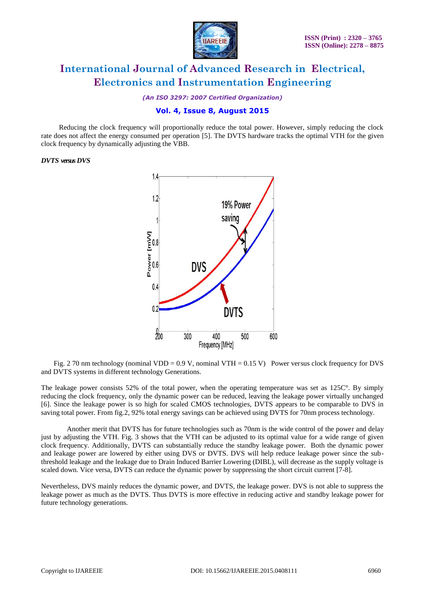

*(An ISO 3297: 2007 Certified Organization)*

# **Vol. 4, Issue 8, August 2015**

 Reducing the clock frequency will proportionally reduce the total power. However, simply reducing the clock rate does not affect the energy consumed per operation [5]. The DVTS hardware tracks the optimal VTH for the given clock frequency by dynamically adjusting the VBB.

#### *DVTS versus DVS*



Fig. 2 70 nm technology (nominal VDD =  $0.9$  V, nominal VTH =  $0.15$  V) Power versus clock frequency for DVS and DVTS systems in different technology Generations.

The leakage power consists 52% of the total power, when the operating temperature was set as  $125C^{\circ}$ . By simply reducing the clock frequency, only the dynamic power can be reduced, leaving the leakage power virtually unchanged [6]. Since the leakage power is so high for scaled CMOS technologies, DVTS appears to be comparable to DVS in saving total power. From fig.2, 92% total energy savings can be achieved using DVTS for 70nm process technology.

Another merit that DVTS has for future technologies such as 70nm is the wide control of the power and delay just by adjusting the VTH. Fig. 3 shows that the VTH can be adjusted to its optimal value for a wide range of given clock frequency. Additionally, DVTS can substantially reduce the standby leakage power. Both the dynamic power and leakage power are lowered by either using DVS or DVTS. DVS will help reduce leakage power since the subthreshold leakage and the leakage due to Drain Induced Barrier Lowering (DIBL), will decrease as the supply voltage is scaled down. Vice versa, DVTS can reduce the dynamic power by suppressing the short circuit current [7-8].

Nevertheless, DVS mainly reduces the dynamic power, and DVTS, the leakage power. DVS is not able to suppress the leakage power as much as the DVTS. Thus DVTS is more effective in reducing active and standby leakage power for future technology generations.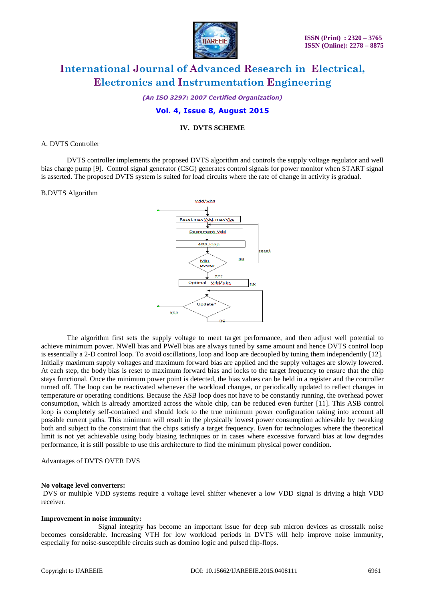

*(An ISO 3297: 2007 Certified Organization)*

# **Vol. 4, Issue 8, August 2015**

#### **IV. DVTS SCHEME**

#### A. DVTS Controller

DVTS controller implements the proposed DVTS algorithm and controls the supply voltage regulator and well bias charge pump [9]. Control signal generator (CSG) generates control signals for power monitor when START signal is asserted. The proposed DVTS system is suited for load circuits where the rate of change in activity is gradual.

#### B.DVTS Algorithm



The algorithm first sets the supply voltage to meet target performance, and then adjust well potential to achieve minimum power. NWell bias and PWell bias are always tuned by same amount and hence DVTS control loop is essentially a 2-D control loop. To avoid oscillations, loop and loop are decoupled by tuning them independently [12]. Initially maximum supply voltages and maximum forward bias are applied and the supply voltages are slowly lowered. At each step, the body bias is reset to maximum forward bias and locks to the target frequency to ensure that the chip stays functional. Once the minimum power point is detected, the bias values can be held in a register and the controller turned off. The loop can be reactivated whenever the workload changes, or periodically updated to reflect changes in temperature or operating conditions. Because the ASB loop does not have to be constantly running, the overhead power consumption, which is already amortized across the whole chip, can be reduced even further [11]. This ASB control loop is completely self-contained and should lock to the true minimum power configuration taking into account all possible current paths. This minimum will result in the physically lowest power consumption achievable by tweaking both and subject to the constraint that the chips satisfy a target frequency. Even for technologies where the theoretical limit is not yet achievable using body biasing techniques or in cases where excessive forward bias at low degrades performance, it is still possible to use this architecture to find the minimum physical power condition.

#### Advantages of DVTS OVER DVS

#### **No voltage level converters:**

DVS or multiple VDD systems require a voltage level shifter whenever a low VDD signal is driving a high VDD receiver.

### **Improvement in noise immunity:**

Signal integrity has become an important issue for deep sub micron devices as crosstalk noise becomes considerable. Increasing VTH for low workload periods in DVTS will help improve noise immunity, especially for noise-susceptible circuits such as domino logic and pulsed flip-flops.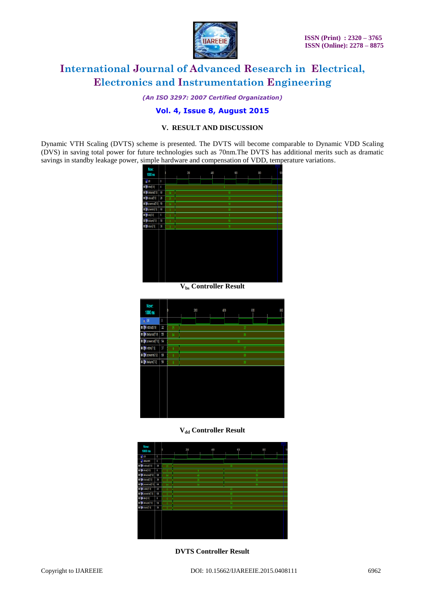

*(An ISO 3297: 2007 Certified Organization)*

# **Vol. 4, Issue 8, August 2015**

### **V. RESULT AND DISCUSSION**

Dynamic VTH Scaling (DVTS) scheme is presented. The DVTS will become comparable to Dynamic VDD Scaling (DVS) in saving total power for future technologies such as 70nm.The DVTS has additional merits such as dramatic savings in standby leakage power, simple hardware and compensation of VDD, temperature variations.



**Vbs Controller Result**

| Now:<br>1000 <sub>ns</sub>           |    | n               | 200             |  | 400 |  | 600    |  | 800 |  |
|--------------------------------------|----|-----------------|-----------------|--|-----|--|--------|--|-----|--|
| <b>b</b> ldk                         | 0  |                 |                 |  |     |  |        |  |     |  |
| <sup>3</sup> M vddout[7:0]           | 32 | $25\,$<br>32    |                 |  |     |  |        |  |     |  |
| <b>D B</b> delayout[7:0]             | 55 | 84              | $\overline{55}$ |  |     |  |        |  |     |  |
| <b>D B</b> powerout[7:0]             | 64 | $\overline{64}$ |                 |  |     |  |        |  |     |  |
| <b>D B</b> vddin(7:0)                | 37 | $\mathbf{0}$    | 37              |  |     |  |        |  |     |  |
| <b>D B</b> <sup>d</sup> powerin[7:0] | 69 | $\theta$        | 69              |  |     |  |        |  |     |  |
| <b>D M</b> delayin[7:0]              | 50 | $\mathbf{0}$    |                 |  |     |  | $50\,$ |  |     |  |
|                                      |    |                 |                 |  |     |  |        |  |     |  |

#### **Vdd Controller Result**



**DVTS Controller Result**